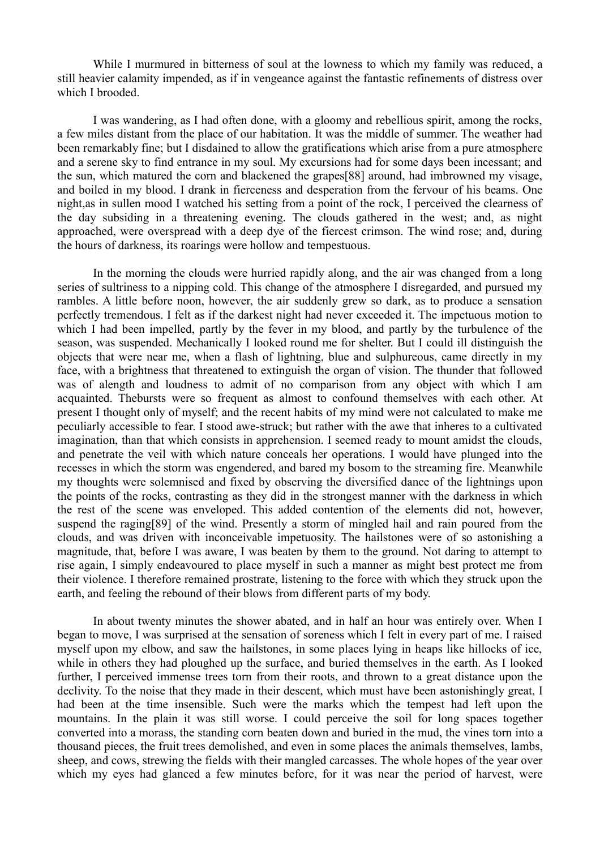While I murmured in bitterness of soul at the lowness to which my family was reduced, a still heavier calamity impended, as if in vengeance against the fantastic refinements of distress over which I brooded.

I was wandering, as I had often done, with a gloomy and rebellious spirit, among the rocks, a few miles distant from the place of our habitation. It was the middle of summer. The weather had been remarkably fine; but I disdained to allow the gratifications which arise from a pure atmosphere and a serene sky to find entrance in my soul. My excursions had for some days been incessant; and the sun, which matured the corn and blackened the grapes[88] around, had imbrowned my visage, and boiled in my blood. I drank in fierceness and desperation from the fervour of his beams. One night,as in sullen mood I watched his setting from a point of the rock, I perceived the clearness of the day subsiding in a threatening evening. The clouds gathered in the west; and, as night approached, were overspread with a deep dye of the fiercest crimson. The wind rose; and, during the hours of darkness, its roarings were hollow and tempestuous.

In the morning the clouds were hurried rapidly along, and the air was changed from a long series of sultriness to a nipping cold. This change of the atmosphere I disregarded, and pursued my rambles. A little before noon, however, the air suddenly grew so dark, as to produce a sensation perfectly tremendous. I felt as if the darkest night had never exceeded it. The impetuous motion to which I had been impelled, partly by the fever in my blood, and partly by the turbulence of the season, was suspended. Mechanically I looked round me for shelter. But I could ill distinguish the objects that were near me, when a flash of lightning, blue and sulphureous, came directly in my face, with a brightness that threatened to extinguish the organ of vision. The thunder that followed was of alength and loudness to admit of no comparison from any object with which I am acquainted. Thebursts were so frequent as almost to confound themselves with each other. At present I thought only of myself; and the recent habits of my mind were not calculated to make me peculiarly accessible to fear. I stood awe-struck; but rather with the awe that inheres to a cultivated imagination, than that which consists in apprehension. I seemed ready to mount amidst the clouds, and penetrate the veil with which nature conceals her operations. I would have plunged into the recesses in which the storm was engendered, and bared my bosom to the streaming fire. Meanwhile my thoughts were solemnised and fixed by observing the diversified dance of the lightnings upon the points of the rocks, contrasting as they did in the strongest manner with the darkness in which the rest of the scene was enveloped. This added contention of the elements did not, however, suspend the raging[89] of the wind. Presently a storm of mingled hail and rain poured from the clouds, and was driven with inconceivable impetuosity. The hailstones were of so astonishing a magnitude, that, before I was aware, I was beaten by them to the ground. Not daring to attempt to rise again, I simply endeavoured to place myself in such a manner as might best protect me from their violence. I therefore remained prostrate, listening to the force with which they struck upon the earth, and feeling the rebound of their blows from different parts of my body.

In about twenty minutes the shower abated, and in half an hour was entirely over. When I began to move, I was surprised at the sensation of soreness which I felt in every part of me. I raised myself upon my elbow, and saw the hailstones, in some places lying in heaps like hillocks of ice, while in others they had ploughed up the surface, and buried themselves in the earth. As I looked further, I perceived immense trees torn from their roots, and thrown to a great distance upon the declivity. To the noise that they made in their descent, which must have been astonishingly great, I had been at the time insensible. Such were the marks which the tempest had left upon the mountains. In the plain it was still worse. I could perceive the soil for long spaces together converted into a morass, the standing corn beaten down and buried in the mud, the vines torn into a thousand pieces, the fruit trees demolished, and even in some places the animals themselves, lambs, sheep, and cows, strewing the fields with their mangled carcasses. The whole hopes of the year over which my eyes had glanced a few minutes before, for it was near the period of harvest, were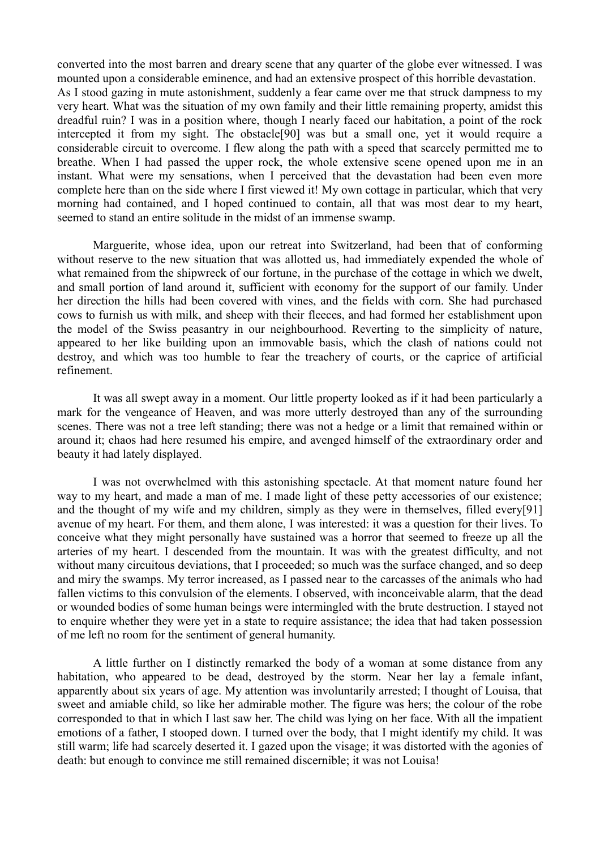converted into the most barren and dreary scene that any quarter of the globe ever witnessed. I was mounted upon a considerable eminence, and had an extensive prospect of this horrible devastation. As I stood gazing in mute astonishment, suddenly a fear came over me that struck dampness to my very heart. What was the situation of my own family and their little remaining property, amidst this dreadful ruin? I was in a position where, though I nearly faced our habitation, a point of the rock intercepted it from my sight. The obstacle[90] was but a small one, yet it would require a considerable circuit to overcome. I flew along the path with a speed that scarcely permitted me to breathe. When I had passed the upper rock, the whole extensive scene opened upon me in an instant. What were my sensations, when I perceived that the devastation had been even more complete here than on the side where I first viewed it! My own cottage in particular, which that very morning had contained, and I hoped continued to contain, all that was most dear to my heart, seemed to stand an entire solitude in the midst of an immense swamp.

Marguerite, whose idea, upon our retreat into Switzerland, had been that of conforming without reserve to the new situation that was allotted us, had immediately expended the whole of what remained from the shipwreck of our fortune, in the purchase of the cottage in which we dwelt, and small portion of land around it, sufficient with economy for the support of our family. Under her direction the hills had been covered with vines, and the fields with corn. She had purchased cows to furnish us with milk, and sheep with their fleeces, and had formed her establishment upon the model of the Swiss peasantry in our neighbourhood. Reverting to the simplicity of nature, appeared to her like building upon an immovable basis, which the clash of nations could not destroy, and which was too humble to fear the treachery of courts, or the caprice of artificial refinement.

It was all swept away in a moment. Our little property looked as if it had been particularly a mark for the vengeance of Heaven, and was more utterly destroyed than any of the surrounding scenes. There was not a tree left standing; there was not a hedge or a limit that remained within or around it; chaos had here resumed his empire, and avenged himself of the extraordinary order and beauty it had lately displayed.

I was not overwhelmed with this astonishing spectacle. At that moment nature found her way to my heart, and made a man of me. I made light of these petty accessories of our existence; and the thought of my wife and my children, simply as they were in themselves, filled every[91] avenue of my heart. For them, and them alone, I was interested: it was a question for their lives. To conceive what they might personally have sustained was a horror that seemed to freeze up all the arteries of my heart. I descended from the mountain. It was with the greatest difficulty, and not without many circuitous deviations, that I proceeded; so much was the surface changed, and so deep and miry the swamps. My terror increased, as I passed near to the carcasses of the animals who had fallen victims to this convulsion of the elements. I observed, with inconceivable alarm, that the dead or wounded bodies of some human beings were intermingled with the brute destruction. I stayed not to enquire whether they were yet in a state to require assistance; the idea that had taken possession of me left no room for the sentiment of general humanity.

A little further on I distinctly remarked the body of a woman at some distance from any habitation, who appeared to be dead, destroyed by the storm. Near her lay a female infant, apparently about six years of age. My attention was involuntarily arrested; I thought of Louisa, that sweet and amiable child, so like her admirable mother. The figure was hers; the colour of the robe corresponded to that in which I last saw her. The child was lying on her face. With all the impatient emotions of a father, I stooped down. I turned over the body, that I might identify my child. It was still warm; life had scarcely deserted it. I gazed upon the visage; it was distorted with the agonies of death: but enough to convince me still remained discernible; it was not Louisa!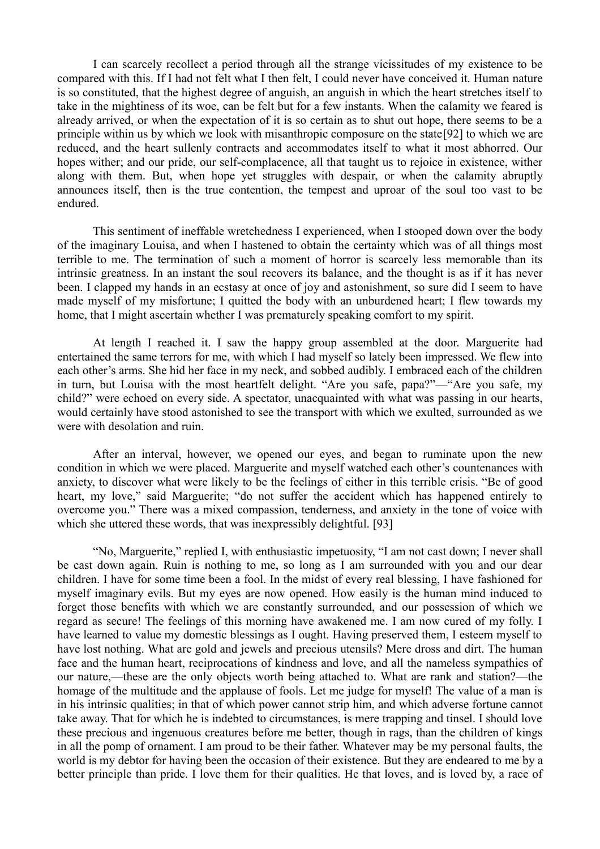I can scarcely recollect a period through all the strange vicissitudes of my existence to be compared with this. If I had not felt what I then felt, I could never have conceived it. Human nature is so constituted, that the highest degree of anguish, an anguish in which the heart stretches itself to take in the mightiness of its woe, can be felt but for a few instants. When the calamity we feared is already arrived, or when the expectation of it is so certain as to shut out hope, there seems to be a principle within us by which we look with misanthropic composure on the state[92] to which we are reduced, and the heart sullenly contracts and accommodates itself to what it most abhorred. Our hopes wither; and our pride, our self-complacence, all that taught us to rejoice in existence, wither along with them. But, when hope yet struggles with despair, or when the calamity abruptly announces itself, then is the true contention, the tempest and uproar of the soul too vast to be endured.

This sentiment of ineffable wretchedness I experienced, when I stooped down over the body of the imaginary Louisa, and when I hastened to obtain the certainty which was of all things most terrible to me. The termination of such a moment of horror is scarcely less memorable than its intrinsic greatness. In an instant the soul recovers its balance, and the thought is as if it has never been. I clapped my hands in an ecstasy at once of joy and astonishment, so sure did I seem to have made myself of my misfortune; I quitted the body with an unburdened heart; I flew towards my home, that I might ascertain whether I was prematurely speaking comfort to my spirit.

At length I reached it. I saw the happy group assembled at the door. Marguerite had entertained the same terrors for me, with which I had myself so lately been impressed. We flew into each other's arms. She hid her face in my neck, and sobbed audibly. I embraced each of the children in turn, but Louisa with the most heartfelt delight. "Are you safe, papa?"—"Are you safe, my child?" were echoed on every side. A spectator, unacquainted with what was passing in our hearts, would certainly have stood astonished to see the transport with which we exulted, surrounded as we were with desolation and ruin.

After an interval, however, we opened our eyes, and began to ruminate upon the new condition in which we were placed. Marguerite and myself watched each other's countenances with anxiety, to discover what were likely to be the feelings of either in this terrible crisis. "Be of good heart, my love," said Marguerite; "do not suffer the accident which has happened entirely to overcome you." There was a mixed compassion, tenderness, and anxiety in the tone of voice with which she uttered these words, that was inexpressibly delightful. [93]

"No, Marguerite," replied I, with enthusiastic impetuosity, "I am not cast down; I never shall be cast down again. Ruin is nothing to me, so long as I am surrounded with you and our dear children. I have for some time been a fool. In the midst of every real blessing, I have fashioned for myself imaginary evils. But my eyes are now opened. How easily is the human mind induced to forget those benefits with which we are constantly surrounded, and our possession of which we regard as secure! The feelings of this morning have awakened me. I am now cured of my folly. I have learned to value my domestic blessings as I ought. Having preserved them, I esteem myself to have lost nothing. What are gold and jewels and precious utensils? Mere dross and dirt. The human face and the human heart, reciprocations of kindness and love, and all the nameless sympathies of our nature,—these are the only objects worth being attached to. What are rank and station?—the homage of the multitude and the applause of fools. Let me judge for myself! The value of a man is in his intrinsic qualities; in that of which power cannot strip him, and which adverse fortune cannot take away. That for which he is indebted to circumstances, is mere trapping and tinsel. I should love these precious and ingenuous creatures before me better, though in rags, than the children of kings in all the pomp of ornament. I am proud to be their father. Whatever may be my personal faults, the world is my debtor for having been the occasion of their existence. But they are endeared to me by a better principle than pride. I love them for their qualities. He that loves, and is loved by, a race of